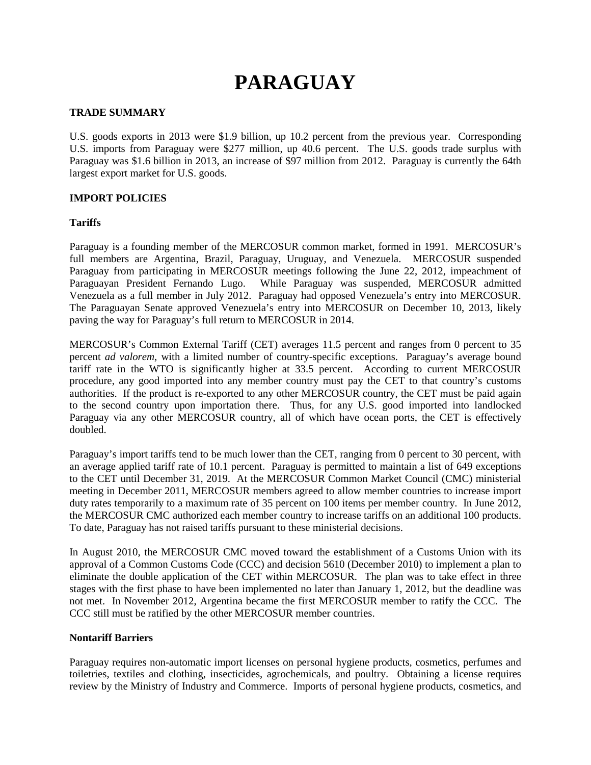# **PARAGUAY**

# **TRADE SUMMARY**

U.S. goods exports in 2013 were \$1.9 billion, up 10.2 percent from the previous year. Corresponding U.S. imports from Paraguay were \$277 million, up 40.6 percent. The U.S. goods trade surplus with Paraguay was \$1.6 billion in 2013, an increase of \$97 million from 2012. Paraguay is currently the 64th largest export market for U.S. goods.

#### **IMPORT POLICIES**

# **Tariffs**

Paraguay is a founding member of the MERCOSUR common market, formed in 1991. MERCOSUR's full members are Argentina, Brazil, Paraguay, Uruguay, and Venezuela. MERCOSUR suspended Paraguay from participating in MERCOSUR meetings following the June 22, 2012, impeachment of Paraguayan President Fernando Lugo. While Paraguay was suspended, MERCOSUR admitted Venezuela as a full member in July 2012. Paraguay had opposed Venezuela's entry into MERCOSUR. The Paraguayan Senate approved Venezuela's entry into MERCOSUR on December 10, 2013, likely paving the way for Paraguay's full return to MERCOSUR in 2014.

MERCOSUR's Common External Tariff (CET) averages 11.5 percent and ranges from 0 percent to 35 percent *ad valorem*, with a limited number of country-specific exceptions. Paraguay's average bound tariff rate in the WTO is significantly higher at 33.5 percent. According to current MERCOSUR procedure, any good imported into any member country must pay the CET to that country's customs authorities. If the product is re-exported to any other MERCOSUR country, the CET must be paid again to the second country upon importation there. Thus, for any U.S. good imported into landlocked Paraguay via any other MERCOSUR country, all of which have ocean ports, the CET is effectively doubled.

Paraguay's import tariffs tend to be much lower than the CET, ranging from 0 percent to 30 percent, with an average applied tariff rate of 10.1 percent. Paraguay is permitted to maintain a list of 649 exceptions to the CET until December 31, 2019. At the MERCOSUR Common Market Council (CMC) ministerial meeting in December 2011, MERCOSUR members agreed to allow member countries to increase import duty rates temporarily to a maximum rate of 35 percent on 100 items per member country. In June 2012, the MERCOSUR CMC authorized each member country to increase tariffs on an additional 100 products. To date, Paraguay has not raised tariffs pursuant to these ministerial decisions.

In August 2010, the MERCOSUR CMC moved toward the establishment of a Customs Union with its approval of a Common Customs Code (CCC) and decision 5610 (December 2010) to implement a plan to eliminate the double application of the CET within MERCOSUR. The plan was to take effect in three stages with the first phase to have been implemented no later than January 1, 2012, but the deadline was not met. In November 2012, Argentina became the first MERCOSUR member to ratify the CCC. The CCC still must be ratified by the other MERCOSUR member countries.

#### **Nontariff Barriers**

Paraguay requires non-automatic import licenses on personal hygiene products, cosmetics, perfumes and toiletries, textiles and clothing, insecticides, agrochemicals, and poultry. Obtaining a license requires review by the Ministry of Industry and Commerce. Imports of personal hygiene products, cosmetics, and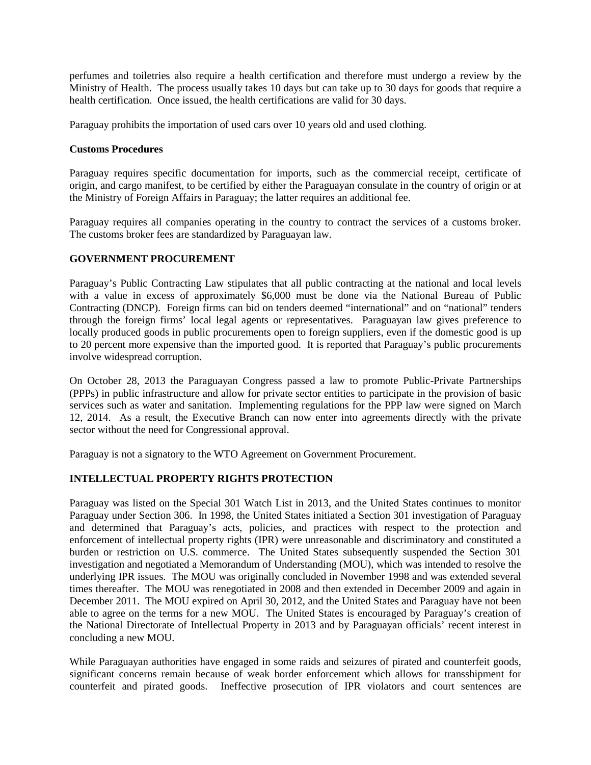perfumes and toiletries also require a health certification and therefore must undergo a review by the Ministry of Health. The process usually takes 10 days but can take up to 30 days for goods that require a health certification. Once issued, the health certifications are valid for 30 days.

Paraguay prohibits the importation of used cars over 10 years old and used clothing.

# **Customs Procedures**

Paraguay requires specific documentation for imports, such as the commercial receipt, certificate of origin, and cargo manifest, to be certified by either the Paraguayan consulate in the country of origin or at the Ministry of Foreign Affairs in Paraguay; the latter requires an additional fee.

Paraguay requires all companies operating in the country to contract the services of a customs broker. The customs broker fees are standardized by Paraguayan law.

# **GOVERNMENT PROCUREMENT**

Paraguay's Public Contracting Law stipulates that all public contracting at the national and local levels with a value in excess of approximately \$6,000 must be done via the National Bureau of Public Contracting (DNCP). Foreign firms can bid on tenders deemed "international" and on "national" tenders through the foreign firms' local legal agents or representatives. Paraguayan law gives preference to locally produced goods in public procurements open to foreign suppliers, even if the domestic good is up to 20 percent more expensive than the imported good. It is reported that Paraguay's public procurements involve widespread corruption.

On October 28, 2013 the Paraguayan Congress passed a law to promote Public-Private Partnerships (PPPs) in public infrastructure and allow for private sector entities to participate in the provision of basic services such as water and sanitation. Implementing regulations for the PPP law were signed on March 12, 2014. As a result, the Executive Branch can now enter into agreements directly with the private sector without the need for Congressional approval.

Paraguay is not a signatory to the WTO Agreement on Government Procurement.

# **INTELLECTUAL PROPERTY RIGHTS PROTECTION**

Paraguay was listed on the Special 301 Watch List in 2013, and the United States continues to monitor Paraguay under Section 306. In 1998, the United States initiated a Section 301 investigation of Paraguay and determined that Paraguay's acts, policies, and practices with respect to the protection and enforcement of intellectual property rights (IPR) were unreasonable and discriminatory and constituted a burden or restriction on U.S. commerce. The United States subsequently suspended the Section 301 investigation and negotiated a Memorandum of Understanding (MOU), which was intended to resolve the underlying IPR issues. The MOU was originally concluded in November 1998 and was extended several times thereafter. The MOU was renegotiated in 2008 and then extended in December 2009 and again in December 2011. The MOU expired on April 30, 2012, and the United States and Paraguay have not been able to agree on the terms for a new MOU. The United States is encouraged by Paraguay's creation of the National Directorate of Intellectual Property in 2013 and by Paraguayan officials' recent interest in concluding a new MOU.

While Paraguayan authorities have engaged in some raids and seizures of pirated and counterfeit goods, significant concerns remain because of weak border enforcement which allows for transshipment for counterfeit and pirated goods. Ineffective prosecution of IPR violators and court sentences are